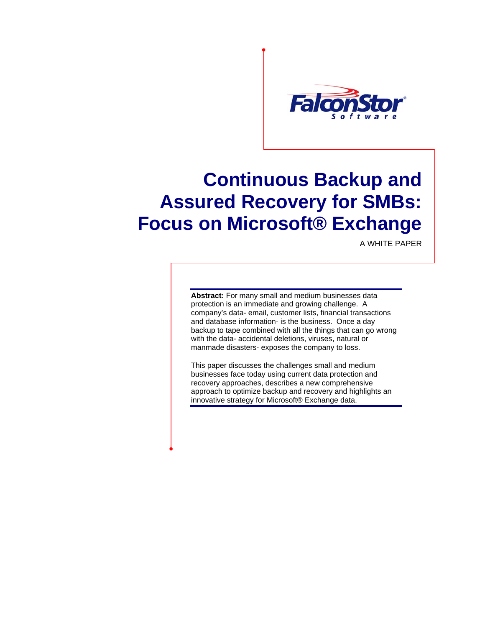

# **Continuous Backup and Assured Recovery for SMBs: Focus on Microsoft® Exchange**

A WHITE PAPER

**Abstract:** For many small and medium businesses data protection is an immediate and growing challenge. A company's data- email, customer lists, financial transactions and database information- is the business. Once a day backup to tape combined with all the things that can go wrong with the data- accidental deletions, viruses, natural or manmade disasters- exposes the company to loss.

This paper discusses the challenges small and medium businesses face today using current data protection and recovery approaches, describes a new comprehensive approach to optimize backup and recovery and highlights an innovative strategy for Microsoft® Exchange data.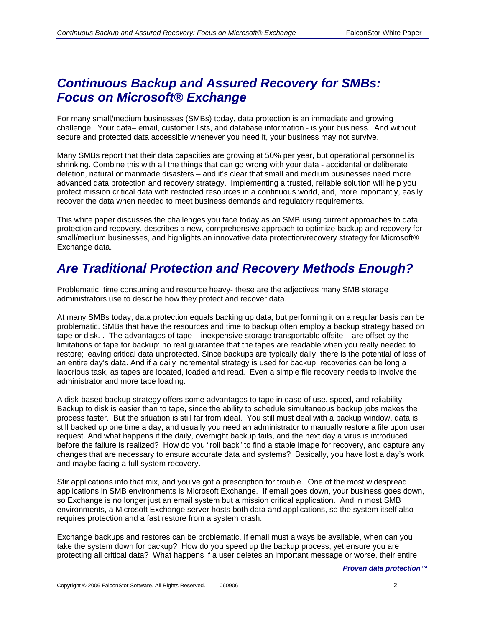#### *Continuous Backup and Assured Recovery for SMBs: Focus on Microsoft® Exchange*

For many small/medium businesses (SMBs) today, data protection is an immediate and growing challenge. Your data– email, customer lists, and database information - is your business. And without secure and protected data accessible whenever you need it, your business may not survive.

Many SMBs report that their data capacities are growing at 50% per year, but operational personnel is shrinking. Combine this with all the things that can go wrong with your data - accidental or deliberate deletion, natural or manmade disasters – and it's clear that small and medium businesses need more advanced data protection and recovery strategy. Implementing a trusted, reliable solution will help you protect mission critical data with restricted resources in a continuous world, and, more importantly, easily recover the data when needed to meet business demands and regulatory requirements.

This white paper discusses the challenges you face today as an SMB using current approaches to data protection and recovery, describes a new, comprehensive approach to optimize backup and recovery for small/medium businesses, and highlights an innovative data protection/recovery strategy for Microsoft® Exchange data.

# *Are Traditional Protection and Recovery Methods Enough?*

Problematic, time consuming and resource heavy- these are the adjectives many SMB storage administrators use to describe how they protect and recover data.

At many SMBs today, data protection equals backing up data, but performing it on a regular basis can be problematic. SMBs that have the resources and time to backup often employ a backup strategy based on tape or disk. . The advantages of tape – inexpensive storage transportable offsite – are offset by the limitations of tape for backup: no real guarantee that the tapes are readable when you really needed to restore; leaving critical data unprotected. Since backups are typically daily, there is the potential of loss of an entire day's data. And if a daily incremental strategy is used for backup, recoveries can be long a laborious task, as tapes are located, loaded and read. Even a simple file recovery needs to involve the administrator and more tape loading.

A disk-based backup strategy offers some advantages to tape in ease of use, speed, and reliability. Backup to disk is easier than to tape, since the ability to schedule simultaneous backup jobs makes the process faster. But the situation is still far from ideal. You still must deal with a backup window, data is still backed up one time a day, and usually you need an administrator to manually restore a file upon user request. And what happens if the daily, overnight backup fails, and the next day a virus is introduced before the failure is realized? How do you "roll back" to find a stable image for recovery, and capture any changes that are necessary to ensure accurate data and systems? Basically, you have lost a day's work and maybe facing a full system recovery.

Stir applications into that mix, and you've got a prescription for trouble. One of the most widespread applications in SMB environments is Microsoft Exchange. If email goes down, your business goes down, so Exchange is no longer just an email system but a mission critical application. And in most SMB environments, a Microsoft Exchange server hosts both data and applications, so the system itself also requires protection and a fast restore from a system crash.

Exchange backups and restores can be problematic. If email must always be available, when can you take the system down for backup? How do you speed up the backup process, yet ensure you are protecting all critical data? What happens if a user deletes an important message or worse, their entire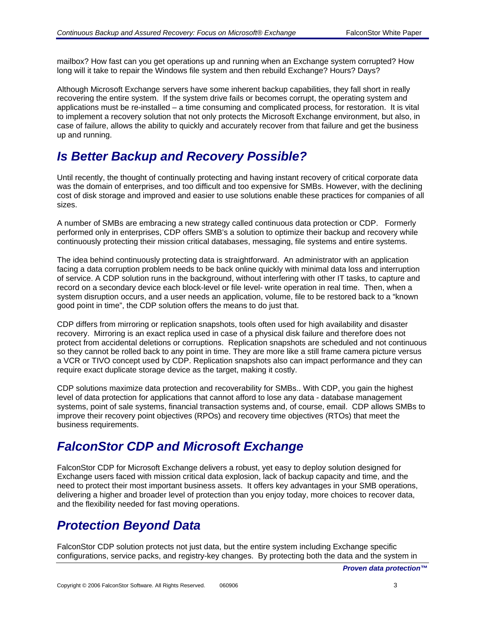mailbox? How fast can you get operations up and running when an Exchange system corrupted? How long will it take to repair the Windows file system and then rebuild Exchange? Hours? Days?

Although Microsoft Exchange servers have some inherent backup capabilities, they fall short in really recovering the entire system. If the system drive fails or becomes corrupt, the operating system and applications must be re-installed – a time consuming and complicated process, for restoration. It is vital to implement a recovery solution that not only protects the Microsoft Exchange environment, but also, in case of failure, allows the ability to quickly and accurately recover from that failure and get the business up and running.

## *Is Better Backup and Recovery Possible?*

Until recently, the thought of continually protecting and having instant recovery of critical corporate data was the domain of enterprises, and too difficult and too expensive for SMBs. However, with the declining cost of disk storage and improved and easier to use solutions enable these practices for companies of all sizes.

A number of SMBs are embracing a new strategy called continuous data protection or CDP. Formerly performed only in enterprises, CDP offers SMB's a solution to optimize their backup and recovery while continuously protecting their mission critical databases, messaging, file systems and entire systems.

The idea behind continuously protecting data is straightforward. An administrator with an application facing a data corruption problem needs to be back online quickly with minimal data loss and interruption of service. A CDP solution runs in the background, without interfering with other IT tasks, to capture and record on a secondary device each block-level or file level- write operation in real time. Then, when a system disruption occurs, and a user needs an application, volume, file to be restored back to a "known good point in time", the CDP solution offers the means to do just that.

CDP differs from mirroring or replication snapshots, tools often used for high availability and disaster recovery. Mirroring is an exact replica used in case of a physical disk failure and therefore does not protect from accidental deletions or corruptions. Replication snapshots are scheduled and not continuous so they cannot be rolled back to any point in time. They are more like a still frame camera picture versus a VCR or TIVO concept used by CDP. Replication snapshots also can impact performance and they can require exact duplicate storage device as the target, making it costly.

CDP solutions maximize data protection and recoverability for SMBs.. With CDP, you gain the highest level of data protection for applications that cannot afford to lose any data - database management systems, point of sale systems, financial transaction systems and, of course, email. CDP allows SMBs to improve their recovery point objectives (RPOs) and recovery time objectives (RTOs) that meet the business requirements.

# *FalconStor CDP and Microsoft Exchange*

FalconStor CDP for Microsoft Exchange delivers a robust, yet easy to deploy solution designed for Exchange users faced with mission critical data explosion, lack of backup capacity and time, and the need to protect their most important business assets. It offers key advantages in your SMB operations, delivering a higher and broader level of protection than you enjoy today, more choices to recover data, and the flexibility needed for fast moving operations.

# *Protection Beyond Data*

FalconStor CDP solution protects not just data, but the entire system including Exchange specific configurations, service packs, and registry-key changes. By protecting both the data and the system in

*Proven data protection™*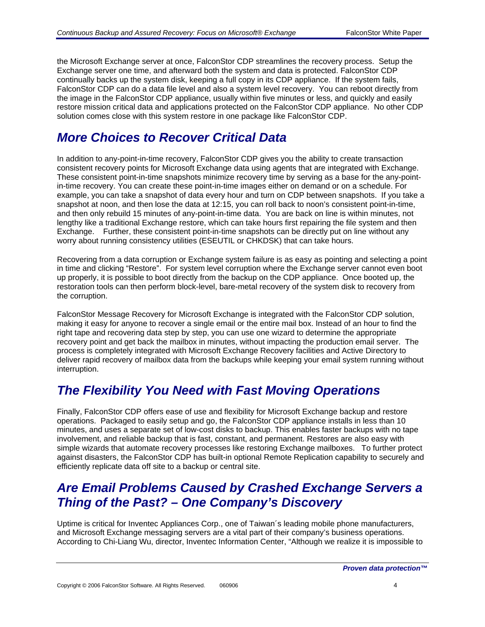the Microsoft Exchange server at once, FalconStor CDP streamlines the recovery process. Setup the Exchange server one time, and afterward both the system and data is protected. FalconStor CDP continually backs up the system disk, keeping a full copy in its CDP appliance. If the system fails, FalconStor CDP can do a data file level and also a system level recovery. You can reboot directly from the image in the FalconStor CDP appliance, usually within five minutes or less, and quickly and easily restore mission critical data and applications protected on the FalconStor CDP appliance. No other CDP solution comes close with this system restore in one package like FalconStor CDP.

# *More Choices to Recover Critical Data*

In addition to any-point-in-time recovery, FalconStor CDP gives you the ability to create transaction consistent recovery points for Microsoft Exchange data using agents that are integrated with Exchange. These consistent point-in-time snapshots minimize recovery time by serving as a base for the any-pointin-time recovery. You can create these point-in-time images either on demand or on a schedule. For example, you can take a snapshot of data every hour and turn on CDP between snapshots. If you take a snapshot at noon, and then lose the data at 12:15, you can roll back to noon's consistent point-in-time, and then only rebuild 15 minutes of any-point-in-time data. You are back on line is within minutes, not lengthy like a traditional Exchange restore, which can take hours first repairing the file system and then Exchange. Further, these consistent point-in-time snapshots can be directly put on line without any worry about running consistency utilities (ESEUTIL or CHKDSK) that can take hours.

Recovering from a data corruption or Exchange system failure is as easy as pointing and selecting a point in time and clicking "Restore". For system level corruption where the Exchange server cannot even boot up properly, it is possible to boot directly from the backup on the CDP appliance. Once booted up, the restoration tools can then perform block-level, bare-metal recovery of the system disk to recovery from the corruption.

FalconStor Message Recovery for Microsoft Exchange is integrated with the FalconStor CDP solution, making it easy for anyone to recover a single email or the entire mail box. Instead of an hour to find the right tape and recovering data step by step, you can use one wizard to determine the appropriate recovery point and get back the mailbox in minutes, without impacting the production email server. The process is completely integrated with Microsoft Exchange Recovery facilities and Active Directory to deliver rapid recovery of mailbox data from the backups while keeping your email system running without interruption.

#### *The Flexibility You Need with Fast Moving Operations*

Finally, FalconStor CDP offers ease of use and flexibility for Microsoft Exchange backup and restore operations. Packaged to easily setup and go, the FalconStor CDP appliance installs in less than 10 minutes, and uses a separate set of low-cost disks to backup. This enables faster backups with no tape involvement, and reliable backup that is fast, constant, and permanent. Restores are also easy with simple wizards that automate recovery processes like restoring Exchange mailboxes. To further protect against disasters, the FalconStor CDP has built-in optional Remote Replication capability to securely and efficiently replicate data off site to a backup or central site.

#### *Are Email Problems Caused by Crashed Exchange Servers a Thing of the Past? – One Company's Discovery*

Uptime is critical for Inventec Appliances Corp., one of Taiwan´s leading mobile phone manufacturers, and Microsoft Exchange messaging servers are a vital part of their company's business operations. According to Chi-Liang Wu, director, Inventec Information Center, "Although we realize it is impossible to